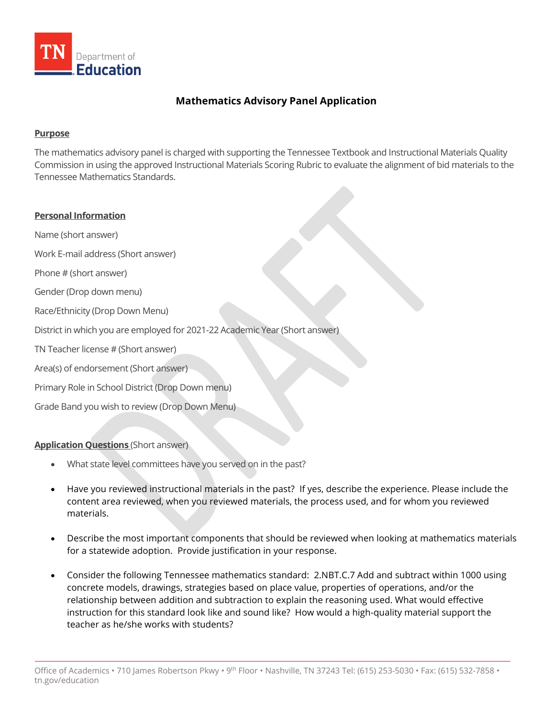

## **Mathematics Advisory Panel Application**

## **Purpose**

The mathematics advisory panel is charged with supporting the Tennessee Textbook and Instructional Materials Quality Commission in using the approved Instructional Materials Scoring Rubric to evaluate the alignment of bid materials to the Tennessee Mathematics Standards.

## **Personal Information**

Name (short answer)

Work E-mail address (Short answer)

Phone # (short answer)

Gender (Drop down menu)

Race/Ethnicity (Drop Down Menu)

District in which you are employed for 2021-22 Academic Year (Short answer)

TN Teacher license # (Short answer)

Area(s) of endorsement (Short answer)

Primary Role in School District (Drop Down menu)

Grade Band you wish to review (Drop Down Menu)

**Application Questions** (Short answer)

- What state level committees have you served on in the past?
- Have you reviewed instructional materials in the past? If yes, describe the experience. Please include the content area reviewed, when you reviewed materials, the process used, and for whom you reviewed materials.
- Describe the most important components that should be reviewed when looking at mathematics materials for a statewide adoption. Provide justification in your response.
- Consider the following Tennessee mathematics standard: 2.NBT.C.7 Add and subtract within 1000 using concrete models, drawings, strategies based on place value, properties of operations, and/or the relationship between addition and subtraction to explain the reasoning used. What would effective instruction for this standard look like and sound like? How would a high-quality material support the teacher as he/she works with students?